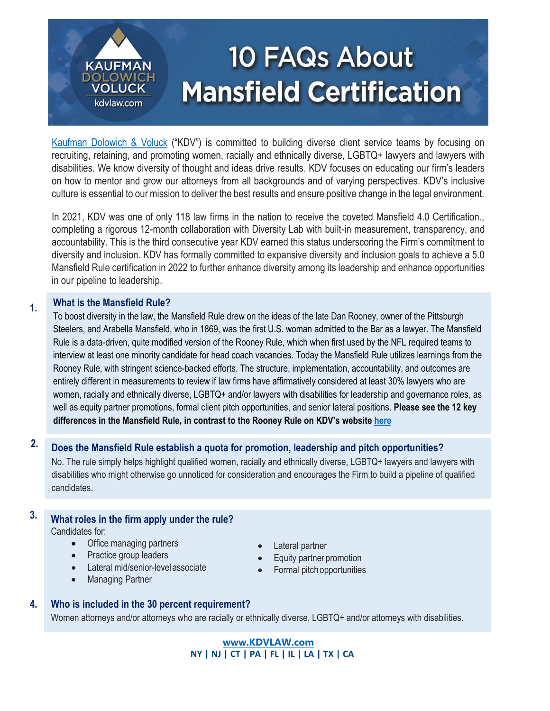# **10 FAQs About Mansfield Certification**

[Kaufman Dolowich & Voluck](http://www.kdvlaw.com/) ("KDV") is committed to building diverse client service teams by focusing on recruiting, retaining, and promoting women, racially and ethnically diverse, LGBTQ+ lawyers and lawyers with disabilities. We know diversity of thought and ideas drive results. KDV focuses on educating our firm's leaders on how to mentor and grow our attorneys from all backgrounds and of varying perspectives. KDV's inclusive culture is essential to our mission to deliver the best results and ensure positive change in the legal environment.

In 2021, KDV was one of only 118 law firms in the nation to receive the coveted Mansfield 4.0 Certification., completing a rigorous 12-month collaboration with Diversity Lab with built-in measurement, transparency, and accountability. This is the third consecutive year KDV earned this status underscoring the Firm's commitment to diversity and inclusion. KDV has formally committed to expansive diversity and inclusion goals to achieve a 5.0 Mansfield Rule certification in 2022 to further enhance diversity among its leadership and enhance opportunities in our pipeline to leadership.

# **1. What is the Mansfield Rule?**

**KAUFMAN** DOLOWIC

> **VOLUCK** kdvlaw.com

To boost diversity in the law, the Mansfield Rule drew on the ideas of the late Dan Rooney, owner of the Pittsburgh Steelers, and Arabella Mansfield, who in 1869, was the first U.S. woman admitted to the Bar as a lawyer. The Mansfield Rule is a data-driven, quite modified version of the Rooney Rule, which when first used by the NFL required teams to interview at least one minority candidate for head coach vacancies. Today the Mansfield Rule utilizes learnings from the Rooney Rule, with stringent science-backed efforts. The structure, implementation, accountability, and outcomes are entirely different in measurements to review if law firms have affirmatively considered at least 30% lawyers who are women, racially and ethnically diverse, LGBTQ+ and/or lawyers with disabilities for leadership and governance roles, as well as equity partner promotions, formal client pitch opportunities, and senior lateral positions. **Please see the 12 key differences in the Mansfield Rule, in contrast to the Rooney Rule on KDV's website [here](https://www.kdvlaw.com/about-kdv/diversity/)**

# **2. Does the Mansfield Rule establish a quota for promotion, leadership and pitch opportunities?**

No. The rule simply helps highlight qualified women, racially and ethnically diverse, LGBTQ+ lawyers and lawyers with disabilities who might otherwise go unnoticed for consideration and encourages the Firm to build a pipeline of qualified candidates.

# **3. What roles in the firm apply under the rule?** Candidates for:

- Office managing partners
- Practice group leaders
- Lateral mid/senior-levelassociate
- Managing Partner
- Lateral partner
- Equity partner promotion
- Formal pitch opportunities

# **4. Who is included in the 30 percent requirement?**

Women attorneys and/or attorneys who are racially or ethnically diverse, LGBTQ+ and/or attorneys with disabilities.

**[www.KDVLAW.com](file:///C:/Users/tmccoy/AppData/Roaming/Microsoft/Word/www.KDVLAW.com) NY | NJ | CT | PA | FL | IL | LA | TX | CA**